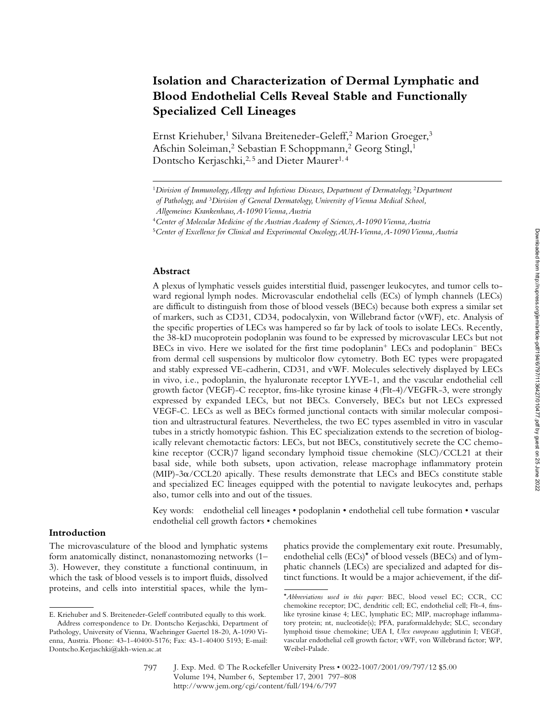# **Isolation and Characterization of Dermal Lymphatic and Blood Endothelial Cells Reveal Stable and Functionally Specialized Cell Lineages**

Ernst Kriehuber,<sup>1</sup> Silvana Breiteneder-Geleff,<sup>2</sup> Marion Groeger,<sup>3</sup> Afschin Soleiman,2 Sebastian F. Schoppmann,2 Georg Stingl,1 Dontscho Kerjaschki,<sup>2,5</sup> and Dieter Maurer<sup>1,4</sup>

### **Abstract**

A plexus of lymphatic vessels guides interstitial fluid, passenger leukocytes, and tumor cells toward regional lymph nodes. Microvascular endothelial cells (ECs) of lymph channels (LECs) are difficult to distinguish from those of blood vessels (BECs) because both express a similar set of markers, such as CD31, CD34, podocalyxin, von Willebrand factor (vWF), etc. Analysis of the specific properties of LECs was hampered so far by lack of tools to isolate LECs. Recently, the 38-kD mucoprotein podoplanin was found to be expressed by microvascular LECs but not BECs in vivo. Here we isolated for the first time podoplanin<sup>+</sup> LECs and podoplanin<sup>-</sup> BECs from dermal cell suspensions by multicolor flow cytometry. Both EC types were propagated and stably expressed VE-cadherin, CD31, and vWF. Molecules selectively displayed by LECs in vivo, i.e., podoplanin, the hyaluronate receptor LYVE-1, and the vascular endothelial cell growth factor (VEGF)-C receptor, fms-like tyrosine kinase 4 (Flt-4)/VEGFR-3, were strongly expressed by expanded LECs, but not BECs. Conversely, BECs but not LECs expressed VEGF-C. LECs as well as BECs formed junctional contacts with similar molecular composition and ultrastructural features. Nevertheless, the two EC types assembled in vitro in vascular tubes in a strictly homotypic fashion. This EC specialization extends to the secretion of biologically relevant chemotactic factors: LECs, but not BECs, constitutively secrete the CC chemokine receptor (CCR)7 ligand secondary lymphoid tissue chemokine (SLC)/CCL21 at their basal side, while both subsets, upon activation, release macrophage inflammatory protein  $(MIP)-3\alpha/CCL20$  apically. These results demonstrate that LECs and BECs constitute stable and specialized EC lineages equipped with the potential to navigate leukocytes and, perhaps also, tumor cells into and out of the tissues.

Key words: endothelial cell lineages • podoplanin • endothelial cell tube formation • vascular endothelial cell growth factors • chemokines

## **Introduction**

The microvasculature of the blood and lymphatic systems form anatomically distinct, nonanastomozing networks (1– 3). However, they constitute a functional continuum, in which the task of blood vessels is to import fluids, dissolved proteins, and cells into interstitial spaces, while the lymphatics provide the complementary exit route. Presumably, endothelial cells (ECs)\* of blood vessels (BECs) and of lymphatic channels (LECs) are specialized and adapted for distinct functions. It would be a major achievement, if the dif-

<sup>1</sup>*Division of Immunology, Allergy and Infectious Diseases, Department of Dermatology,* <sup>2</sup>*Department* 

*of Pathology, and* <sup>3</sup>*Division of General Dermatology, University of Vienna Medical School,* 

*Allgemeines Krankenhaus, A-1090 Vienna, Austria*

<sup>4</sup>*Center of Molecular Medicine of the Austrian Academy of Sciences, A-1090 Vienna, Austria*

<sup>5</sup>*Center of Excellence for Clinical and Experimental Oncology, AUH-Vienna, A-1090 Vienna, Austria*

E. Kriehuber and S. Breiteneder-Geleff contributed equally to this work. Address correspondence to Dr. Dontscho Kerjaschki, Department of Pathology, University of Vienna, Waehringer Guertel 18-20, A-1090 Vienna, Austria. Phone: 43-1-40400-5176; Fax: 43-1-40400 5193; E-mail: Dontscho.Kerjaschki@akh-wien.ac.at

<sup>\*</sup>*Abbreviations used in this paper:* BEC, blood vessel EC; CCR, CC chemokine receptor; DC, dendritic cell; EC, endothelial cell; Flt-4, fmslike tyrosine kinase 4; LEC, lymphatic EC; MIP, macrophage inflammatory protein; nt, nucleotide(s); PFA, paraformaldehyde; SLC, secondary lymphoid tissue chemokine; UEA I, *Ulex europeaus* agglutinin I; VEGF, vascular endothelial cell growth factor; vWF, von Willebrand factor; WP, Weibel-Palade.

J. Exp. Med. © The Rockefeller University Press • 0022-1007/2001/09/797/12 \$5.00 Volume 194, Number 6, September 17, 2001 797–808 http://www.jem.org/cgi/content/full/194/6/797 797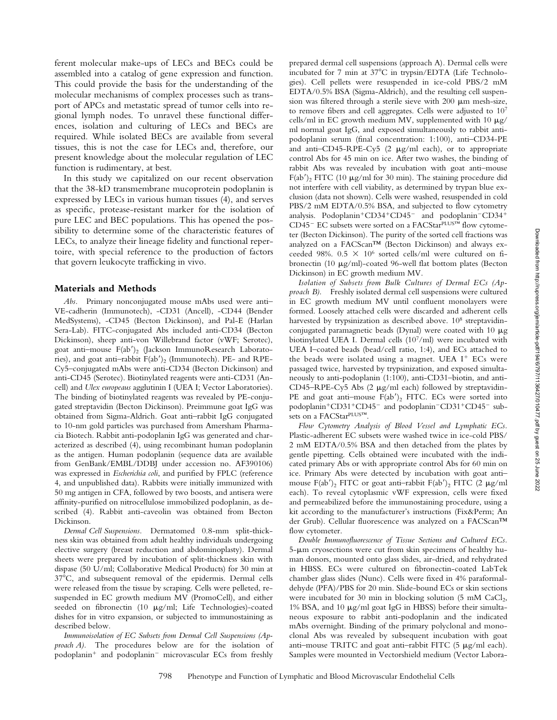ferent molecular make-ups of LECs and BECs could be assembled into a catalog of gene expression and function. This could provide the basis for the understanding of the molecular mechanisms of complex processes such as transport of APCs and metastatic spread of tumor cells into regional lymph nodes. To unravel these functional differences, isolation and culturing of LECs and BECs are required. While isolated BECs are available from several tissues, this is not the case for LECs and, therefore, our present knowledge about the molecular regulation of LEC function is rudimentary, at best.

In this study we capitalized on our recent observation that the 38-kD transmembrane mucoprotein podoplanin is expressed by LECs in various human tissues (4), and serves as specific, protease-resistant marker for the isolation of pure LEC and BEC populations. This has opened the possibility to determine some of the characteristic features of LECs, to analyze their lineage fidelity and functional repertoire, with special reference to the production of factors that govern leukocyte trafficking in vivo.

#### **Materials and Methods**

*Abs.* Primary nonconjugated mouse mAbs used were anti– VE-cadherin (Immunotech), -CD31 (Ancell), -CD44 (Bender MedSystems), -CD45 (Becton Dickinson), and Pal-E (Harlan Sera-Lab). FITC-conjugated Abs included anti-CD34 (Becton Dickinson), sheep anti-von Willebrand factor (vWF; Serotec), goat anti-mouse F(ab')<sub>2</sub> (Jackson ImmunoResearch Laboratories), and goat anti-rabbit F(ab')<sub>2</sub> (Immunotech). PE- and RPE-Cy5–conjugated mAbs were anti-CD34 (Becton Dickinson) and anti-CD45 (Serotec). Biotinylated reagents were anti-CD31 (Ancell) and *Ulex europeaus* agglutinin I (UEA I; Vector Laboratories). The binding of biotinylated reagents was revealed by PE-conjugated streptavidin (Becton Dickinson). Preimmune goat IgG was obtained from Sigma-Aldrich. Goat anti–rabbit IgG conjugated to 10-nm gold particles was purchased from Amersham Pharmacia Biotech. Rabbit anti-podoplanin IgG was generated and characterized as described (4), using recombinant human podoplanin as the antigen. Human podoplanin (sequence data are available from GenBank/EMBL/DDBJ under accession no. AF390106) was expressed in *Escherichia coli*, and purified by FPLC (reference 4, and unpublished data). Rabbits were initially immunized with 50 mg antigen in CFA, followed by two boosts, and antisera were affinity-purified on nitrocellulose immobilized podoplanin, as described (4). Rabbit anti-caveolin was obtained from Becton Dickinson.

*Dermal Cell Suspensions.* Dermatomed 0.8-mm split-thickness skin was obtained from adult healthy individuals undergoing elective surgery (breast reduction and abdominoplasty). Dermal sheets were prepared by incubation of split-thickness skin with dispase (50 U/ml; Collaborative Medical Products) for 30 min at 37C, and subsequent removal of the epidermis. Dermal cells were released from the tissue by scraping. Cells were pelleted, resuspended in EC growth medium MV (PromoCell), and either seeded on fibronectin (10  $\mu$ g/ml; Life Technologies)-coated dishes for in vitro expansion, or subjected to immunostaining as described below.

*Immunoisolation of EC Subsets from Dermal Cell Suspensions (Approach A).* The procedures below are for the isolation of podoplanin<sup>+</sup> and podoplanin<sup>-</sup> microvascular ECs from freshly

prepared dermal cell suspensions (approach A)*.* Dermal cells were incubated for 7 min at  $37^{\circ}$ C in trypsin/EDTA (Life Technologies). Cell pellets were resuspended in ice-cold PBS/2 mM EDTA/0.5% BSA (Sigma-Aldrich), and the resulting cell suspension was filtered through a sterile sieve with  $200 \mu m$  mesh-size, to remove fibers and cell aggregates. Cells were adjusted to 107 cells/ml in EC growth medium MV, supplemented with 10  $\mu$ g/ ml normal goat IgG, and exposed simultaneously to rabbit antipodoplanin serum (final concentration: 1:100), anti–CD34-PE and anti-CD45-RPE-Cy5 (2  $\mu$ g/ml each), or to appropriate control Abs for 45 min on ice. After two washes, the binding of rabbit Abs was revealed by incubation with goat anti–mouse  $F(ab')$ , FITC (10  $\mu$ g/ml for 30 min). The staining procedure did not interfere with cell viability, as determined by trypan blue exclusion (data not shown). Cells were washed, resuspended in cold PBS/2 mM EDTA/0.5% BSA, and subjected to flow cytometry analysis. Podoplanin<sup>+</sup>CD34<sup>+</sup>CD45<sup>-</sup> and podoplanin<sup>-</sup>CD34<sup>+</sup> CD45<sup>-</sup> EC subsets were sorted on a FACStar<sup>PLUS™</sup> flow cytometer (Becton Dickinson). The purity of the sorted cell fractions was analyzed on a FACScan™ (Becton Dickinson) and always exceeded 98%.  $0.5 \times 10^6$  sorted cells/ml were cultured on fibronectin (10 µg/ml)-coated 96-well flat bottom plates (Becton Dickinson) in EC growth medium MV.

*Isolation of Subsets from Bulk Cultures of Dermal ECs (Approach B).* Freshly isolated dermal cell suspensions were cultured in EC growth medium MV until confluent monolayers were formed. Loosely attached cells were discarded and adherent cells harvested by trypsinization as described above. 10<sup>8</sup> streptavidinconjugated paramagnetic beads (Dynal) were coated with 10  $\mu$ g biotinylated UEA I. Dermal cells (107/ml) were incubated with UEA I–coated beads (bead/cell ratio, 1:4), and ECs attached to the beads were isolated using a magnet. UEA I<sup>+</sup> ECs were passaged twice, harvested by trypsinization, and exposed simultaneously to anti-podoplanin (1:100), anti-CD31–biotin, and anti-CD45–RPE-Cy5 Abs  $(2 \mu g/ml$  each) followed by streptavidin-PE and goat anti-mouse  $F(ab')_2$  FITC. ECs were sorted into podoplanin<sup>+</sup>CD31<sup>+</sup>CD45<sup>-</sup> and podoplanin<sup>-</sup>CD31<sup>+</sup>CD45<sup>-</sup> subsets on a FACStarPLUS™.

*Flow Cytometry Analysis of Blood Vessel and Lymphatic ECs.* Plastic-adherent EC subsets were washed twice in ice-cold PBS/ 2 mM EDTA/0.5% BSA and then detached from the plates by gentle pipetting. Cells obtained were incubated with the indicated primary Abs or with appropriate control Abs for 60 min on ice. Primary Abs were detected by incubation with goat anti– mouse  $F(ab')_2$  FITC or goat anti-rabbit  $F(ab')_2$  FITC (2  $\mu$ g/ml each). To reveal cytoplasmic vWF expression, cells were fixed and permeabilized before the immunostaining procedure, using a kit according to the manufacturer's instructions (Fix&Perm; An der Grub). Cellular fluorescence was analyzed on a FACScan™ flow cytometer.

*Double Immunofluorescence of Tissue Sections and Cultured ECs.* 5-um cryosections were cut from skin specimens of healthy human donors, mounted onto glass slides, air-dried, and rehydrated in HBSS. ECs were cultured on fibronectin-coated LabTek chamber glass slides (Nunc). Cells were fixed in 4% paraformaldehyde (PFA)/PBS for 20 min. Slide-bound ECs or skin sections were incubated for 30 min in blocking solution  $(5 \text{ mM } CaCl<sub>2</sub>)$ , 1% BSA, and 10  $\mu$ g/ml goat IgG in HBSS) before their simultaneous exposure to rabbit anti-podoplanin and the indicated mAbs overnight. Binding of the primary polyclonal and monoclonal Abs was revealed by subsequent incubation with goat anti-mouse TRITC and goat anti-rabbit FITC  $(5 \mu g/ml \, each)$ . Samples were mounted in Vectorshield medium (Vector Labora-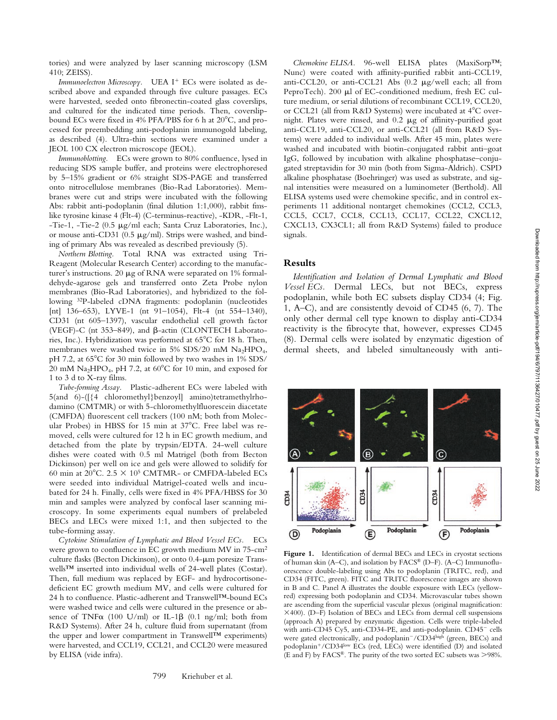Downloaded from http://rupress.org/jem/article-pdf/194/6/797/1136427/010477.pdf by guest on 25 June Downloaded from http://rupress.org/jem/article-pdf/194/6/797/1136427/010477.pdf by guest on 25 June 2022

2022

tories) and were analyzed by laser scanning microscopy (LSM 410; ZEISS).

Immunoelectron Microscopy. UEA I<sup>+</sup> ECs were isolated as described above and expanded through five culture passages. ECs were harvested, seeded onto fibronectin-coated glass coverslips, and cultured for the indicated time periods. Then, coverslipbound ECs were fixed in  $4\%$  PFA/PBS for 6 h at  $20^{\circ}$ C, and processed for preembedding anti-podoplanin immunogold labeling, as described (4). Ultra-thin sections were examined under a JEOL 100 CX electron microscope (JEOL).

*Immunoblotting.* ECs were grown to 80% confluence, lysed in reducing SDS sample buffer, and proteins were electrophoresed by 5–15% gradient or 6% straight SDS-PAGE and transferred onto nitrocellulose membranes (Bio-Rad Laboratories). Membranes were cut and strips were incubated with the following Abs: rabbit anti-podoplanin (final dilution 1:1,000), rabbit fmslike tyrosine kinase 4 (Flt-4) (C-terminus-reactive), -KDR, -Flt-1, -Tie-1, -Tie-2 (0.5 µg/ml each; Santa Cruz Laboratories, Inc.), or mouse anti-CD31 (0.5  $\mu$ g/ml). Strips were washed, and binding of primary Abs was revealed as described previously (5).

*Northern Blotting.* Total RNA was extracted using Tri-Reagent (Molecular Research Center) according to the manufacturer's instructions. 20  $\mu$ g of RNA were separated on 1% formaldehyde-agarose gels and transferred onto Zeta Probe nylon membranes (Bio-Rad Laboratories), and hybridized to the following 32P-labeled cDNA fragments: podoplanin (nucleotides [nt] 136-653), LYVE-1 (nt 91-1054), Flt-4 (nt 554-1340), CD31 (nt 605–1397), vascular endothelial cell growth factor (VEGF)-C (nt 353-849), and  $\beta$ -actin (CLONTECH Laboratories, Inc.). Hybridization was performed at  $65^{\circ}$ C for 18 h. Then, membranes were washed twice in 5% SDS/20 mM  $Na<sub>2</sub>HPO<sub>4</sub>$ , pH 7.2, at 65°C for 30 min followed by two washes in 1% SDS/ 20 mM  $\text{Na}_2\text{HPO}_4$ , pH 7.2, at 60°C for 10 min, and exposed for 1 to 3 d to X-ray films.

*Tube-forming Assay.* Plastic-adherent ECs were labeled with 5(and 6)-([{4 chloromethyl}benzoyl] amino)tetramethylrhodamino (CMTMR) or with 5-chloromethylfluorescein diacetate (CMFDA) fluorescent cell trackers (100 nM; both from Molecular Probes) in HBSS for 15 min at 37°C. Free label was removed, cells were cultured for 12 h in EC growth medium, and detached from the plate by trypsin/EDTA. 24-well culture dishes were coated with 0.5 ml Matrigel (both from Becton Dickinson) per well on ice and gels were allowed to solidify for 60 min at 20 $^{\circ}$ C. 2.5  $\times$  10<sup>5</sup> CMTMR- or CMFDA-labeled ECs were seeded into individual Matrigel-coated wells and incubated for 24 h. Finally, cells were fixed in 4% PFA/HBSS for 30 min and samples were analyzed by confocal laser scanning microscopy. In some experiments equal numbers of prelabeled BECs and LECs were mixed 1:1, and then subjected to the tube-forming assay.

*Cytokine Stimulation of Lymphatic and Blood Vessel ECs.* ECs were grown to confluence in EC growth medium MV in 75-cm2 culture flasks (Becton Dickinson), or onto 0.4- $\mu$ m poresize Transwells™ inserted into individual wells of 24-well plates (Costar). Then, full medium was replaced by EGF- and hydrocortisonedeficient EC growth medium MV, and cells were cultured for 24 h to confluence. Plastic-adherent and Transwell™-bound ECs were washed twice and cells were cultured in the presence or absence of TNF $\alpha$  (100 U/ml) or IL-1 $\beta$  (0.1 ng/ml; both from R&D Systems). After 24 h, culture fluid from supernatant (from the upper and lower compartment in Transwell™ experiments) were harvested, and CCL19, CCL21, and CCL20 were measured by ELISA (vide infra).

*Chemokine ELISA.* 96-well ELISA plates (MaxiSorp™; Nunc) were coated with affinity-purified rabbit anti-CCL19, anti-CCL20, or anti-CCL21 Abs  $(0.2 \mu g/well$  each; all from PeproTech). 200 µl of EC-conditioned medium, fresh EC culture medium, or serial dilutions of recombinant CCL19, CCL20, or CCL21 (all from R&D Systems) were incubated at 4°C overnight. Plates were rinsed, and  $0.2 \mu$ g of affinity-purified goat anti-CCL19, anti-CCL20, or anti-CCL21 (all from R&D Systems) were added to individual wells. After 45 min, plates were washed and incubated with biotin-conjugated rabbit anti–goat IgG, followed by incubation with alkaline phosphatase–conjugated streptavidin for 30 min (both from Sigma-Aldrich). CSPD alkaline phosphatase (Boehringer) was used as substrate, and signal intensities were measured on a luminometer (Berthold). All ELISA systems used were chemokine specific, and in control experiments 11 additional nontarget chemokines (CCL2, CCL3, CCL5, CCL7, CCL8, CCL13, CCL17, CCL22, CXCL12, CXCL13, CX3CL1; all from R&D Systems) failed to produce signals.

#### **Results**

*Identification and Isolation of Dermal Lymphatic and Blood Vessel ECs.* Dermal LECs, but not BECs, express podoplanin, while both EC subsets display CD34 (4; Fig. 1, A–C), and are consistently devoid of CD45 (6, 7). The only other dermal cell type known to display anti-CD34 reactivity is the fibrocyte that, however, expresses CD45 (8). Dermal cells were isolated by enzymatic digestion of dermal sheets, and labeled simultaneously with anti-



Figure 1. Identification of dermal BECs and LECs in cryostat sections of human skin (A–C), and isolation by FACS® (D–F). (A–C) Immunofluorescence double-labeling using Abs to podoplanin (TRITC, red), and CD34 (FITC, green). FITC and TRITC fluorescence images are shown in B and C. Panel A illustrates the double exposure with LECs (yellowred) expressing both podoplanin and CD34. Microvascular tubes shown are ascending from the superficial vascular plexus (original magnification: 400). (D–F) Isolation of BECs and LECs from dermal cell suspensions (approach A) prepared by enzymatic digestion. Cells were triple-labeled with anti-CD45 Cy5, anti-CD34-PE, and anti-podoplanin. CD45<sup>-</sup> cells were gated electronically, and podoplanin<sup>-</sup>/CD34high (green, BECs) and podoplanin<sup>+</sup>/CD34low ECs (red, LECs) were identified (D) and isolated (E and F) by FACS®. The purity of the two sorted EC subsets was 98%.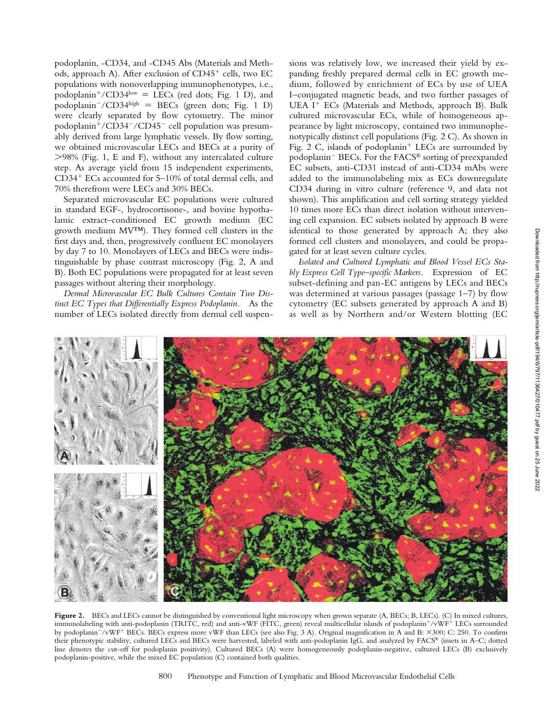podoplanin, -CD34, and -CD45 Abs (Materials and Methods, approach A). After exclusion of CD45<sup>+</sup> cells, two EC populations with nonoverlapping immunophenotypes, i.e., podoplanin<sup>+</sup>/CD34 $\text{low}$  = LECs (red dots; Fig. 1 D), and podoplanin<sup>-</sup>/CD34high = BECs (green dots; Fig. 1 D) were clearly separated by flow cytometry. The minor podoplanin<sup>+</sup>/CD34<sup>-</sup>/CD45<sup>-</sup> cell population was presumably derived from large lymphatic vessels. By flow sorting, we obtained microvascular LECs and BECs at a purity of 98% (Fig. 1, E and F), without any intercalated culture step. As average yield from 15 independent experiments, CD34- ECs accounted for 5–10% of total dermal cells, and 70% therefrom were LECs and 30% BECs.

Separated microvascular EC populations were cultured in standard EGF-, hydrocortisone-, and bovine hypothalamic extract–conditioned EC growth medium (EC growth medium MV™). They formed cell clusters in the first days and, then, progressively confluent EC monolayers by day 7 to 10. Monolayers of LECs and BECs were indistinguishable by phase contrast microscopy (Fig. 2, A and B). Both EC populations were propagated for at least seven passages without altering their morphology.

*Dermal Microvascular EC Bulk Cultures Contain Two Distinct EC Types that Differentially Express Podoplanin.* As the number of LECs isolated directly from dermal cell suspensions was relatively low, we increased their yield by expanding freshly prepared dermal cells in EC growth medium, followed by enrichment of ECs by use of UEA I–conjugated magnetic beads, and two further passages of UEA I<sup>+</sup> ECs (Materials and Methods, approach B). Bulk cultured microvascular ECs, while of homogeneous appearance by light microscopy, contained two immunophenotypically distinct cell populations (Fig. 2 C). As shown in Fig. 2 C, islands of podoplanin<sup>+</sup> LECs are surrounded by podoplanin<sup>-</sup> BECs. For the FACS<sup>®</sup> sorting of preexpanded EC subsets, anti-CD31 instead of anti-CD34 mAbs were added to the immunolabeling mix as ECs downregulate CD34 during in vitro culture (reference 9, and data not shown). This amplification and cell sorting strategy yielded 10 times more ECs than direct isolation without intervening cell expansion. EC subsets isolated by approach B were identical to those generated by approach A; they also formed cell clusters and monolayers, and could be propagated for at least seven culture cycles.

*Isolated and Cultured Lymphatic and Blood Vessel ECs Stably Express Cell Type–specific Markers.* Expression of EC subset-defining and pan-EC antigens by LECs and BECs was determined at various passages (passage 1–7) by flow cytometry (EC subsets generated by approach A and B) as well as by Northern and/or Western blotting (EC



Figure 2. BECs and LECs cannot be distinguished by conventional light microscopy when grown separate (A, BECs; B, LECs). (C) In mixed cultures, immunolabeling with anti-podoplanin (TRITC, red) and anti-vWF (FITC, green) reveal multicellular islands of podoplanin-/vWF- LECs surrounded by podoplanin<sup>-</sup>/vWF<sup>+</sup> BECs. BECs express more vWF than LECs (see also Fig. 3 A). Original magnification in A and B: ×300; C: 250. To confirm their phenotypic stability, cultured LECs and BECs were harvested, labeled with anti-podoplanin IgG, and analyzed by FACS® (insets in A–C; dotted line denotes the cut-off for podoplanin positivity). Cultured BECs (A) were homogeneously podoplanin-negative, cultured LECs (B) exclusively podoplanin-positive, while the mixed EC population (C) contained both qualities.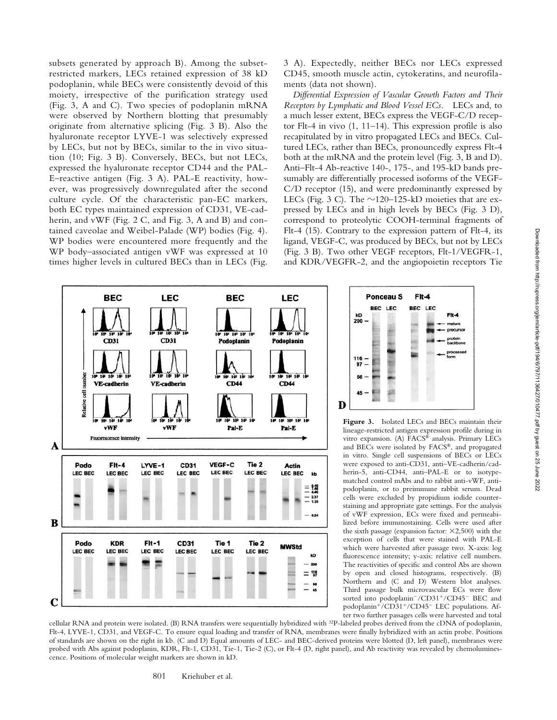subsets generated by approach B). Among the subsetrestricted markers, LECs retained expression of 38 kD podoplanin, while BECs were consistently devoid of this moiety, irrespective of the purification strategy used (Fig. 3, A and C). Two species of podoplanin mRNA were observed by Northern blotting that presumably originate from alternative splicing (Fig. 3 B). Also the hyaluronate receptor LYVE-1 was selectively expressed by LECs, but not by BECs, similar to the in vivo situation (10; Fig. 3 B). Conversely, BECs, but not LECs, expressed the hyaluronate receptor CD44 and the PAL-E–reactive antigen (Fig. 3 A). PAL-E reactivity, however, was progressively downregulated after the second culture cycle. Of the characteristic pan-EC markers, both EC types maintained expression of CD31, VE-cadherin, and vWF (Fig. 2 C, and Fig. 3, A and B) and contained caveolae and Weibel-Palade (WP) bodies (Fig. 4). WP bodies were encountered more frequently and the WP body–associated antigen vWF was expressed at 10 times higher levels in cultured BECs than in LECs (Fig.

3 A). Expectedly, neither BECs nor LECs expressed CD45, smooth muscle actin, cytokeratins, and neurofilaments (data not shown).

*Differential Expression of Vascular Growth Factors and Their Receptors by Lymphatic and Blood Vessel ECs.* LECs and, to a much lesser extent, BECs express the VEGF-C/D receptor Flt-4 in vivo (1, 11–14). This expression profile is also recapitulated by in vitro propagated LECs and BECs. Cultured LECs, rather than BECs, pronouncedly express Flt-4 both at the mRNA and the protein level (Fig. 3, B and D). Anti–Flt-4 Ab-reactive 140-, 175-, and 195-kD bands presumably are differentially processed isoforms of the VEGF-C/D receptor (15), and were predominantly expressed by LECs (Fig. 3 C). The  $\sim$ 120–125-kD moieties that are expressed by LECs and in high levels by BECs (Fig. 3 D), correspond to proteolytic COOH-terminal fragments of Flt-4 (15). Contrary to the expression pattern of Flt-4, its ligand, VEGF-C, was produced by BECs, but not by LECs (Fig. 3 B). Two other VEGF receptors, Flt-1/VEGFR-1, and KDR/VEGFR-2, and the angiopoietin receptors Tie

Ponceau<sub>S</sub>

**BEC** LEC

 $kD$ <br>200

 $\frac{116}{97}$  –

66

D

**Figure 3.** Isolated LECs and BECs maintain their lineage-restricted antigen expression profile during in vitro expansion. (A) FACS® analysis. Primary LECs and BECs were isolated by FACS®, and propagated in vitro. Single cell suspensions of BECs or LECs were exposed to anti-CD31, anti–VE-cadherin/cadherin-5, anti-CD44, anti–PAL-E or to isotypematched control mAbs and to rabbit anti-vWF, antipodoplanin, or to preimmune rabbit serum. Dead cells were excluded by propidium iodide counterstaining and appropriate gate settings. For the analysis of vWF expression, ECs were fixed and permeabilized before immunostaining. Cells were used after the sixth passage (expansion factor:  $\times$ 2,500) with the exception of cells that were stained with PAL-E which were harvested after passage two. X-axis: log fluorescence intensity; y-axis: relative cell numbers. The reactivities of specific and control Abs are shown by open and closed histograms, respectively. (B) Northern and (C and D) Western blot analyses. Third passage bulk microvascular ECs were flow sorted into podoplanin<sup>-</sup>/CD31<sup>+</sup>/CD45<sup>-</sup> BEC and podoplanin<sup>+</sup>/CD31<sup>+</sup>/CD45<sup>-</sup> LEC populations. After two further passages cells were harvested and total

Fit-4

 $F<sub>h-4</sub>$ 

**BEC** LEC



cellular RNA and protein were isolated. (B) RNA transfers were sequentially hybridized with 32P-labeled probes derived from the cDNA of podoplanin, Flt-4, LYVE-1, CD31, and VEGF-C. To ensure equal loading and transfer of RNA, membranes were finally hybridized with an actin probe. Positions of standards are shown on the right in kb. (C and D) Equal amounts of LEC- and BEC-derived proteins were blotted (D, left panel), membranes were probed with Abs against podoplanin, KDR, Flt-1, CD31, Tie-1, Tie-2 (C), or Flt-4 (D, right panel), and Ab reactivity was revealed by chemoluminescence. Positions of molecular weight markers are shown in kD.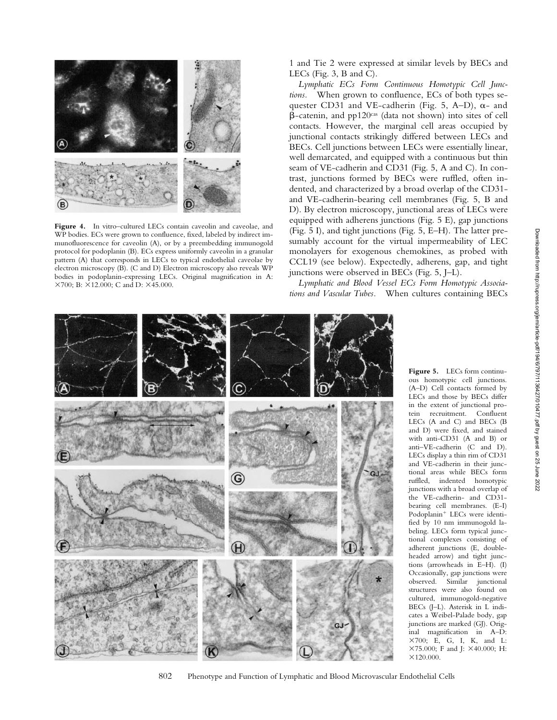

Figure 4. In vitro-cultured LECs contain caveolin and caveolae, and WP bodies. ECs were grown to confluence, fixed, labeled by indirect immunofluorescence for caveolin (A), or by a preembedding immunogold protocol for podoplanin (B). ECs express uniformly caveolin in a granular pattern (A) that corresponds in LECs to typical endothelial caveolae by electron microscopy (B). (C and D) Electron microscopy also reveals WP bodies in podoplanin-expressing LECs. Original magnification in A: ×700; B: ×12.000; C and D: ×45.000.

1 and Tie 2 were expressed at similar levels by BECs and LECs (Fig. 3, B and C).

*Lymphatic ECs Form Continuous Homotypic Cell Junctions.* When grown to confluence, ECs of both types sequester CD31 and VE-cadherin (Fig. 5, A–D),  $\alpha$ - and  $\beta$ -catenin, and pp120 $\text{c}^{\text{as}}$  (data not shown) into sites of cell contacts. However, the marginal cell areas occupied by junctional contacts strikingly differed between LECs and BECs. Cell junctions between LECs were essentially linear, well demarcated, and equipped with a continuous but thin seam of VE-cadherin and CD31 (Fig. 5, A and C). In contrast, junctions formed by BECs were ruffled, often indented, and characterized by a broad overlap of the CD31 and VE-cadherin-bearing cell membranes (Fig. 5, B and D). By electron microscopy, junctional areas of LECs were equipped with adherens junctions (Fig. 5 E), gap junctions (Fig. 5 I), and tight junctions (Fig. 5, E–H). The latter presumably account for the virtual impermeability of LEC monolayers for exogenous chemokines, as probed with CCL19 (see below). Expectedly, adherens, gap, and tight junctions were observed in BECs (Fig. 5, J–L).

*Lymphatic and Blood Vessel ECs Form Homotypic Associations and Vascular Tubes.* When cultures containing BECs



**Figure 5.** LECs form continuous homotypic cell junctions. (A–D) Cell contacts formed by LECs and those by BECs differ in the extent of junctional protein recruitment. Confluent LECs (A and C) and BECs (B and D) were fixed, and stained with anti-CD31 (A and B) or anti–VE-cadherin (C and D). LECs display a thin rim of CD31 and VE-cadherin in their junctional areas while BECs form ruffled, indented homotypic junctions with a broad overlap of the VE-cadherin- and CD31 bearing cell membranes. (E-I) Podoplanin- LECs were identified by 10 nm immunogold labeling. LECs form typical junctional complexes consisting of adherent junctions (E, doubleheaded arrow) and tight junctions (arrowheads in E–H). (I) Occasionally, gap junctions were observed. Similar junctional structures were also found on cultured, immunogold-negative BECs (J–L). Asterisk in L indicates a Weibel-Palade body, gap junctions are marked (GJ). Original magnification in A–D: 700; E, G, I, K, and L: ×75.000; F and J: ×40.000; H:  $×120.000.$ 

802 Phenotype and Function of Lymphatic and Blood Microvascular Endothelial Cells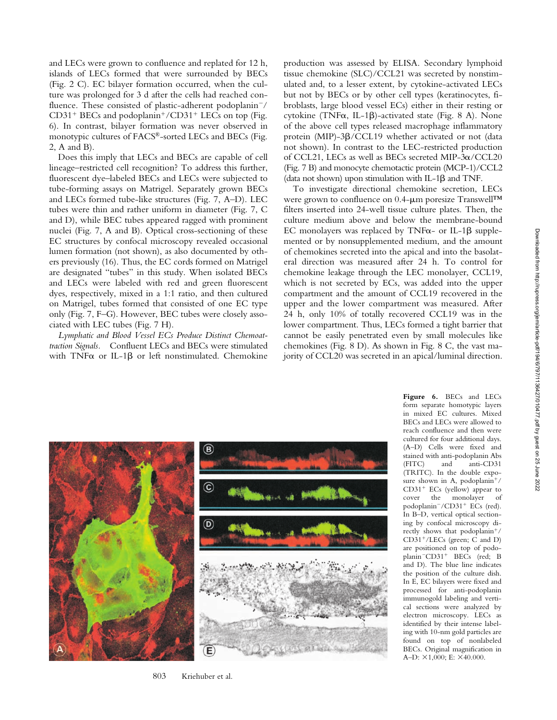and LECs were grown to confluence and replated for 12 h, islands of LECs formed that were surrounded by BECs (Fig. 2 C). EC bilayer formation occurred, when the culture was prolonged for 3 d after the cells had reached confluence. These consisted of plastic-adherent podoplanin<sup>-/</sup> CD31<sup>+</sup> BECs and podoplanin<sup>+</sup>/CD31<sup>+</sup> LECs on top (Fig. 6). In contrast, bilayer formation was never observed in monotypic cultures of FACS®-sorted LECs and BECs (Fig. 2, A and B).

Does this imply that LECs and BECs are capable of cell lineage–restricted cell recognition? To address this further, fluorescent dye–labeled BECs and LECs were subjected to tube-forming assays on Matrigel. Separately grown BECs and LECs formed tube-like structures (Fig. 7, A–D). LEC tubes were thin and rather uniform in diameter (Fig. 7, C and D), while BEC tubes appeared ragged with prominent nuclei (Fig. 7, A and B). Optical cross-sectioning of these EC structures by confocal microscopy revealed occasional lumen formation (not shown), as also documented by others previously (16). Thus, the EC cords formed on Matrigel are designated "tubes" in this study. When isolated BECs and LECs were labeled with red and green fluorescent dyes, respectively, mixed in a 1:1 ratio, and then cultured on Matrigel, tubes formed that consisted of one EC type only (Fig. 7, F–G). However, BEC tubes were closely associated with LEC tubes (Fig. 7 H).

*Lymphatic and Blood Vessel ECs Produce Distinct Chemoattraction Signals.* Confluent LECs and BECs were stimulated with TNF $\alpha$  or IL-1 $\beta$  or left nonstimulated. Chemokine production was assessed by ELISA. Secondary lymphoid tissue chemokine (SLC)/CCL21 was secreted by nonstimulated and, to a lesser extent, by cytokine-activated LECs but not by BECs or by other cell types (keratinocytes, fibroblasts, large blood vessel ECs) either in their resting or cytokine (TNF $\alpha$ , IL-1 $\beta$ )-activated state (Fig. 8 A). None of the above cell types released macrophage inflammatory protein (MIP)-3B/CCL19 whether activated or not (data not shown). In contrast to the LEC-restricted production of CCL21, LECs as well as BECs secreted MIP- $3\alpha$ /CCL20 (Fig. 7 B) and monocyte chemotactic protein (MCP-1)/CCL2 (data not shown) upon stimulation with IL-1 $\beta$  and TNF.

To investigate directional chemokine secretion, LECs were grown to confluence on 0.4-µm poresize Transwell™ filters inserted into 24-well tissue culture plates. Then, the culture medium above and below the membrane-bound EC monolayers was replaced by TNF $\alpha$ - or IL-1 $\beta$  supplemented or by nonsupplemented medium, and the amount of chemokines secreted into the apical and into the basolateral direction was measured after 24 h. To control for chemokine leakage through the LEC monolayer, CCL19, which is not secreted by ECs, was added into the upper compartment and the amount of CCL19 recovered in the upper and the lower compartment was measured. After 24 h, only 10% of totally recovered CCL19 was in the lower compartment. Thus, LECs formed a tight barrier that cannot be easily penetrated even by small molecules like chemokines (Fig. 8 D). As shown in Fig. 8 C, the vast majority of CCL20 was secreted in an apical/luminal direction.



**Figure 6.** BECs and LECs form separate homotypic layers in mixed EC cultures. Mixed BECs and LECs were allowed to reach confluence and then were cultured for four additional days. (A–D) Cells were fixed and stained with anti-podoplanin Abs (FITC) and anti-CD31 (TRITC). In the double exposure shown in A, podoplanin<sup>+</sup>/ CD31- ECs (yellow) appear to cover the monolayer of podoplanin<sup>-</sup>/CD31<sup>+</sup> ECs (red). In B–D, vertical optical sectioning by confocal microscopy directly shows that podoplanin<sup>+/</sup> CD31-/LECs (green; C and D) are positioned on top of podoplanin<sup>-</sup>CD31<sup>+</sup> BECs (red; B and D). The blue line indicates the position of the culture dish. In E, EC bilayers were fixed and processed for anti-podoplanin immunogold labeling and vertical sections were analyzed by electron microscopy. LECs as identified by their intense labeling with 10-nm gold particles are found on top of nonlabeled BECs. Original magnification in A–D:  $\times$ 1,000; E:  $\times$ 40.000.

803 Kriehuber et al.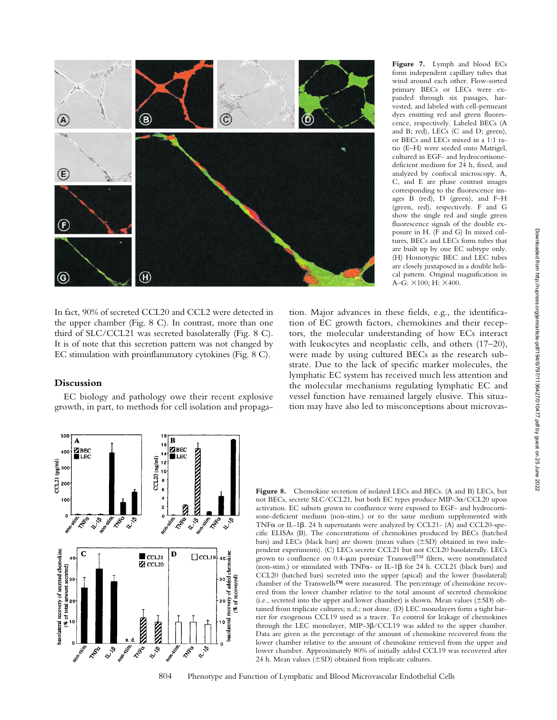

**Figure 7.** Lymph and blood ECs form independent capillary tubes that wind around each other. Flow-sorted primary BECs or LECs were expanded through six passages, harvested, and labeled with cell-permeant dyes emitting red and green fluorescence, respectively. Labeled BECs (A and B; red), LECs (C and D; green), or BECs and LECs mixed in a 1:1 ratio (E–H) were seeded onto Matrigel, cultured in EGF- and hydrocortisonedeficient medium for 24 h, fixed, and analyzed by confocal microscopy. A, C, and E are phase contrast images corresponding to the fluorescence images B (red), D (green), and F–H (green, red), respectively. F and G show the single red and single green fluorescence signals of the double exposure in H. (F and G) In mixed cultures, BECs and LECs form tubes that are built up by one EC subtype only. (H) Homotypic BEC and LEC tubes are closely juxtaposed in a double helical pattern. Original magnification in A–G:  $\times 100$ ; H:  $\times 400$ .

In fact, 90% of secreted CCL20 and CCL2 were detected in the upper chamber (Fig. 8 C). In contrast, more than one third of SLC/CCL21 was secreted basolaterally (Fig. 8 C). It is of note that this secretion pattern was not changed by EC stimulation with proinflammatory cytokines (Fig. 8 C).

#### **Discussion**

EC biology and pathology owe their recent explosive growth, in part, to methods for cell isolation and propagation. Major advances in these fields, e.g., the identification of EC growth factors, chemokines and their receptors, the molecular understanding of how ECs interact with leukocytes and neoplastic cells, and others (17–20), were made by using cultured BECs as the research substrate. Due to the lack of specific marker molecules, the lymphatic EC system has received much less attention and the molecular mechanisms regulating lymphatic EC and vessel function have remained largely elusive. This situation may have also led to misconceptions about microvas-



Figure 8. Chemokine secretion of isolated LECs and BECs. (A and B) LECs, but not BECs, secrete SLC/CCL21, but both EC types produce MIP-3 $\alpha$ /CCL20 upon activation. EC subsets grown to confluence were exposed to EGF- and hydrocortisone-deficient medium (non-stim.) or to the same medium supplemented with TNF $\alpha$  or IL-1 $\beta$ . 24 h supernatants were analyzed by CCL21- (A) and CCL20-specific ELISAs (B). The concentrations of chemokines produced by BECs (hatched bars) and LECs (black bars) are shown (mean values  $(\pm SD)$  obtained in two independent experiments). (C) LECs secrete CCL21 but not CCL20 basolaterally. LECs grown to confluence on 0.4- $\mu$ m poresize Transwell<sup>TM</sup> filters, were nonstimulated (non-stim.) or stimulated with TNF $\alpha$ - or IL-1 $\beta$  for 24 h. CCL21 (black bars) and CCL20 (hatched bars) secreted into the upper (apical) and the lower (basolateral) chamber of the Transwells™ were measured. The percentage of chemokine recovered from the lower chamber relative to the total amount of secreted chemokine (i.e., secreted into the upper and lower chamber) is shown. Mean values  $(\pm SD)$  obtained from triplicate cultures; n.d.; not done. (D) LEC monolayers form a tight barrier for exogenous CCL19 used as a tracer. To control for leakage of chemokines through the LEC monolayer, MIP-3 $\beta$ /CCL19 was added to the upper chamber. Data are given as the percentage of the amount of chemokine recovered from the lower chamber relative to the amount of chemokine retrieved from the upper and lower chamber. Approximately 80% of initially added CCL19 was recovered after 24 h. Mean values  $(\pm SD)$  obtained from triplicate cultures.

804 Phenotype and Function of Lymphatic and Blood Microvascular Endothelial Cells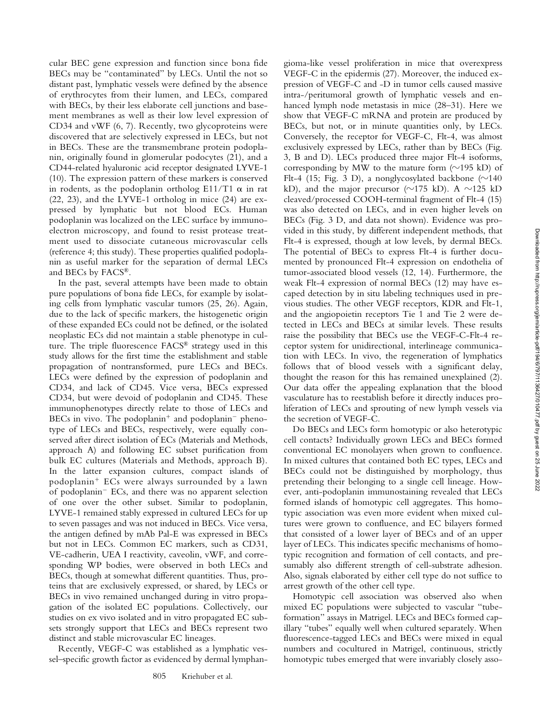cular BEC gene expression and function since bona fide BECs may be "contaminated" by LECs. Until the not so distant past, lymphatic vessels were defined by the absence of erythrocytes from their lumen, and LECs, compared with BECs, by their less elaborate cell junctions and basement membranes as well as their low level expression of CD34 and vWF (6, 7). Recently, two glycoproteins were discovered that are selectively expressed in LECs, but not in BECs. These are the transmembrane protein podoplanin, originally found in glomerular podocytes (21), and a CD44-related hyaluronic acid receptor designated LYVE-1 (10). The expression pattern of these markers is conserved in rodents, as the podoplanin ortholog E11/T1  $\alpha$  in rat (22, 23), and the LYVE-1 ortholog in mice (24) are expressed by lymphatic but not blood ECs. Human podoplanin was localized on the LEC surface by immunoelectron microscopy, and found to resist protease treatment used to dissociate cutaneous microvascular cells (reference 4; this study). These properties qualified podoplanin as useful marker for the separation of dermal LECs and BECs by FACS®.

In the past, several attempts have been made to obtain pure populations of bona fide LECs, for example by isolating cells from lymphatic vascular tumors (25, 26). Again, due to the lack of specific markers, the histogenetic origin of these expanded ECs could not be defined, or the isolated neoplastic ECs did not maintain a stable phenotype in culture. The triple fluorescence FACS® strategy used in this study allows for the first time the establishment and stable propagation of nontransformed, pure LECs and BECs. LECs were defined by the expression of podoplanin and CD34, and lack of CD45. Vice versa, BECs expressed CD34, but were devoid of podoplanin and CD45. These immunophenotypes directly relate to those of LECs and BECs in vivo. The podoplanin<sup>+</sup> and podoplanin<sup>-</sup> phenotype of LECs and BECs, respectively, were equally conserved after direct isolation of ECs (Materials and Methods, approach A) and following EC subset purification from bulk EC cultures (Materials and Methods, approach B). In the latter expansion cultures, compact islands of podoplanin- ECs were always surrounded by a lawn of podoplanin<sup>-</sup> ECs, and there was no apparent selection of one over the other subset. Similar to podoplanin, LYVE-1 remained stably expressed in cultured LECs for up to seven passages and was not induced in BECs. Vice versa, the antigen defined by mAb Pal-E was expressed in BECs but not in LECs. Common EC markers, such as CD31, VE-cadherin, UEA I reactivity, caveolin, vWF, and corresponding WP bodies, were observed in both LECs and BECs, though at somewhat different quantities. Thus, proteins that are exclusively expressed, or shared, by LECs or BECs in vivo remained unchanged during in vitro propagation of the isolated EC populations. Collectively, our studies on ex vivo isolated and in vitro propagated EC subsets strongly support that LECs and BECs represent two distinct and stable microvascular EC lineages.

Recently, VEGF-C was established as a lymphatic vessel–specific growth factor as evidenced by dermal lymphan-

gioma-like vessel proliferation in mice that overexpress VEGF-C in the epidermis (27). Moreover, the induced expression of VEGF-C and -D in tumor cells caused massive intra-/peritumoral growth of lymphatic vessels and enhanced lymph node metastasis in mice (28–31). Here we show that VEGF-C mRNA and protein are produced by BECs, but not, or in minute quantities only, by LECs. Conversely, the receptor for VEGF-C, Flt-4, was almost exclusively expressed by LECs, rather than by BECs (Fig. 3, B and D). LECs produced three major Flt-4 isoforms, corresponding by MW to the mature form  $(\sim 195$  kD) of Flt-4 (15; Fig. 3 D), a nonglycosylated backbone ( $\sim$ 140 kD), and the major precursor ( $\sim$ 175 kD). A  $\sim$ 125 kD cleaved/processed COOH-terminal fragment of Flt-4 (15) was also detected on LECs, and in even higher levels on BECs (Fig. 3 D, and data not shown). Evidence was provided in this study, by different independent methods, that Flt-4 is expressed, though at low levels, by dermal BECs. The potential of BECs to express Flt-4 is further documented by pronounced Flt-4 expression on endothelia of tumor-associated blood vessels (12, 14). Furthermore, the weak Flt-4 expression of normal BECs (12) may have escaped detection by in situ labeling techniques used in previous studies. The other VEGF receptors, KDR and Flt-1, and the angiopoietin receptors Tie 1 and Tie 2 were detected in LECs and BECs at similar levels. These results raise the possibility that BECs use the VEGF-C-Flt-4 receptor system for unidirectional, interlineage communication with LECs. In vivo, the regeneration of lymphatics follows that of blood vessels with a significant delay, thought the reason for this has remained unexplained (2). Our data offer the appealing explanation that the blood vasculature has to reestablish before it directly induces proliferation of LECs and sprouting of new lymph vessels via the secretion of VEGF-C.

Do BECs and LECs form homotypic or also heterotypic cell contacts? Individually grown LECs and BECs formed conventional EC monolayers when grown to confluence. In mixed cultures that contained both EC types, LECs and BECs could not be distinguished by morphology, thus pretending their belonging to a single cell lineage. However, anti-podoplanin immunostaining revealed that LECs formed islands of homotypic cell aggregates. This homotypic association was even more evident when mixed cultures were grown to confluence, and EC bilayers formed that consisted of a lower layer of BECs and of an upper layer of LECs. This indicates specific mechanisms of homotypic recognition and formation of cell contacts, and presumably also different strength of cell-substrate adhesion. Also, signals elaborated by either cell type do not suffice to arrest growth of the other cell type.

Homotypic cell association was observed also when mixed EC populations were subjected to vascular "tubeformation" assays in Matrigel. LECs and BECs formed capillary "tubes" equally well when cultured separately. When fluorescence-tagged LECs and BECs were mixed in equal numbers and cocultured in Matrigel, continuous, strictly homotypic tubes emerged that were invariably closely asso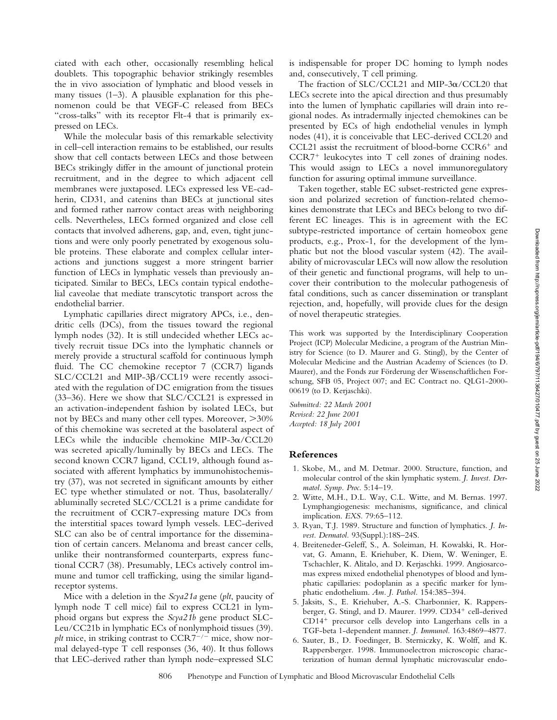ciated with each other, occasionally resembling helical doublets. This topographic behavior strikingly resembles the in vivo association of lymphatic and blood vessels in many tissues (1–3). A plausible explanation for this phenomenon could be that VEGF-C released from BECs "cross-talks" with its receptor Flt-4 that is primarily expressed on LECs.

While the molecular basis of this remarkable selectivity in cell–cell interaction remains to be established, our results show that cell contacts between LECs and those between BECs strikingly differ in the amount of junctional protein recruitment, and in the degree to which adjacent cell membranes were juxtaposed. LECs expressed less VE-cadherin, CD31, and catenins than BECs at junctional sites and formed rather narrow contact areas with neighboring cells. Nevertheless, LECs formed organized and close cell contacts that involved adherens, gap, and, even, tight junctions and were only poorly penetrated by exogenous soluble proteins. These elaborate and complex cellular interactions and junctions suggest a more stringent barrier function of LECs in lymphatic vessels than previously anticipated. Similar to BECs, LECs contain typical endothelial caveolae that mediate transcytotic transport across the endothelial barrier.

Lymphatic capillaries direct migratory APCs, i.e., dendritic cells (DCs), from the tissues toward the regional lymph nodes (32). It is still undecided whether LECs actively recruit tissue DCs into the lymphatic channels or merely provide a structural scaffold for continuous lymph fluid. The CC chemokine receptor 7 (CCR7) ligands  $SLC/CCL21$  and MIP-3 $\beta$ /CCL19 were recently associated with the regulation of DC emigration from the tissues (33–36). Here we show that SLC/CCL21 is expressed in an activation-independent fashion by isolated LECs, but not by BECs and many other cell types. Moreover, 30% of this chemokine was secreted at the basolateral aspect of LECs while the inducible chemokine MIP-3 $\alpha$ /CCL20 was secreted apically/luminally by BECs and LECs. The second known CCR7 ligand, CCL19, although found associated with afferent lymphatics by immunohistochemistry (37), was not secreted in significant amounts by either EC type whether stimulated or not. Thus, basolaterally/ abluminally secreted SLC/CCL21 is a prime candidate for the recruitment of CCR7-expressing mature DCs from the interstitial spaces toward lymph vessels. LEC-derived SLC can also be of central importance for the dissemination of certain cancers. Melanoma and breast cancer cells, unlike their nontransformed counterparts, express functional CCR7 (38). Presumably, LECs actively control immune and tumor cell trafficking, using the similar ligandreceptor systems.

Mice with a deletion in the *Scya21a* gene (*plt*, paucity of lymph node T cell mice) fail to express CCL21 in lymphoid organs but express the *Scya21b* gene product SLC-Leu/CC21b in lymphatic ECs of nonlymphoid tissues (39). *plt* mice, in striking contrast to  $CCR7^{-/-}$  mice, show normal delayed-type T cell responses (36, 40). It thus follows that LEC-derived rather than lymph node–expressed SLC

is indispensable for proper DC homing to lymph nodes and, consecutively, T cell priming.

The fraction of SLC/CCL21 and MIP-3 $\alpha$ /CCL20 that LECs secrete into the apical direction and thus presumably into the lumen of lymphatic capillaries will drain into regional nodes. As intradermally injected chemokines can be presented by ECs of high endothelial venules in lymph nodes (41), it is conceivable that LEC-derived CCL20 and CCL21 assist the recruitment of blood-borne CCR6<sup>+</sup> and CCR7- leukocytes into T cell zones of draining nodes. This would assign to LECs a novel immunoregulatory function for assuring optimal immune surveillance.

Taken together, stable EC subset-restricted gene expression and polarized secretion of function-related chemokines demonstrate that LECs and BECs belong to two different EC lineages. This is in agreement with the EC subtype-restricted importance of certain homeobox gene products, e.g., Prox-1, for the development of the lymphatic but not the blood vascular system (42). The availability of microvascular LECs will now allow the resolution of their genetic and functional programs, will help to uncover their contribution to the molecular pathogenesis of fatal conditions, such as cancer dissemination or transplant rejection, and, hopefully, will provide clues for the design of novel therapeutic strategies.

This work was supported by the Interdisciplinary Cooperation Project (ICP) Molecular Medicine, a program of the Austrian Ministry for Science (to D. Maurer and G. Stingl), by the Center of Molecular Medicine and the Austrian Academy of Sciences (to D. Maurer), and the Fonds zur Förderung der Wissenschaftlichen Forschung, SFB 05, Project 007; and EC Contract no. QLG1-2000- 00619 (to D. Kerjaschki).

*Submitted: 22 March 2001 Revised: 22 June 2001 Accepted: 18 July 2001*

## **References**

- 1. Skobe, M., and M. Detmar. 2000. Structure, function, and molecular control of the skin lymphatic system. *J. Invest. Dermatol. Symp. Proc.* 5:14–19.
- 2. Witte, M.H., D.L. Way, C.L. Witte, and M. Bernas. 1997. Lymphangiogenesis: mechanisms, significance, and clinical implication. *EXS.* 79:65–112.
- 3. Ryan, T.J. 1989. Structure and function of lymphatics. *J. Invest. Dermatol.* 93(Suppl.):18S–24S.
- 4. Breiteneder-Geleff, S., A. Soleiman, H. Kowalski, R. Horvat, G. Amann, E. Kriehuber, K. Diem, W. Weninger, E. Tschachler, K. Alitalo, and D. Kerjaschki. 1999. Angiosarcomas express mixed endothelial phenotypes of blood and lymphatic capillaries: podoplanin as a specific marker for lymphatic endothelium. *Am. J. Pathol.* 154:385–394.
- 5. Jaksits, S., E. Kriehuber, A.-S. Charbonnier, K. Rappersberger, G. Stingl, and D. Maurer. 1999. CD34<sup>+</sup> cell-derived CD14- precursor cells develop into Langerhans cells in a TGF-beta 1-dependent manner. *J. Immunol.* 163:4869–4877.
- 6. Sauter, B., D. Foedinger, B. Sterniczky, K. Wolff, and K. Rappersberger. 1998. Immunoelectron microscopic characterization of human dermal lymphatic microvascular endo-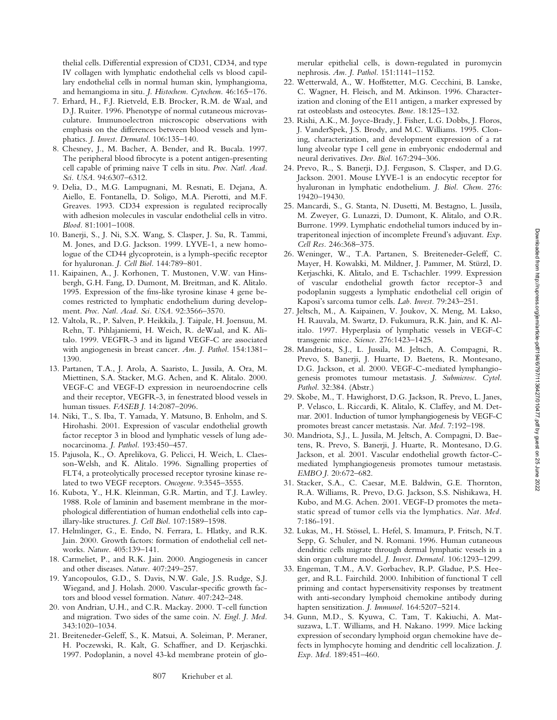thelial cells. Differential expression of CD31, CD34, and type IV collagen with lymphatic endothelial cells vs blood capillary endothelial cells in normal human skin, lymphangioma, and hemangioma in situ. *J. Histochem. Cytochem.* 46:165–176.

- 7. Erhard, H., F.J. Rietveld, E.B. Brocker, R.M. de Waal, and D.J. Ruiter. 1996. Phenotype of normal cutaneous microvasculature. Immunoelectron microscopic observations with emphasis on the differences between blood vessels and lymphatics. *J. Invest. Dermatol.* 106:135–140.
- 8. Chesney, J., M. Bacher, A. Bender, and R. Bucala. 1997. The peripheral blood fibrocyte is a potent antigen-presenting cell capable of priming naive T cells in situ. *Proc. Natl. Acad. Sci. USA.* 94:6307–6312.
- 9. Delia, D., M.G. Lampugnani, M. Resnati, E. Dejana, A. Aiello, E. Fontanella, D. Soligo, M.A. Pierotti, and M.F. Greaves. 1993. CD34 expression is regulated reciprocally with adhesion molecules in vascular endothelial cells in vitro. *Blood.* 81:1001–1008.
- 10. Banerji, S., J. Ni, S.X. Wang, S. Clasper, J. Su, R. Tammi, M. Jones, and D.G. Jackson. 1999. LYVE-1, a new homologue of the CD44 glycoprotein, is a lymph-specific receptor for hyaluronan. *J. Cell Biol.* 144:789–801.
- 11. Kaipainen, A., J. Korhonen, T. Mustonen, V.W. van Hinsbergh, G.H. Fang, D. Dumont, M. Breitman, and K. Alitalo. 1995. Expression of the fms-like tyrosine kinase 4 gene becomes restricted to lymphatic endothelium during development. *Proc. Natl. Acad. Sci. USA.* 92:3566–3570.
- 12. Valtola, R., P. Salven, P. Heikkila, J. Taipale, H. Joensuu, M. Rehn, T. Pihlajaniemi, H. Weich, R. deWaal, and K. Alitalo. 1999. VEGFR-3 and its ligand VEGF-C are associated with angiogenesis in breast cancer. *Am. J. Pathol.* 154:1381– 1390.
- 13. Partanen, T.A., J. Arola, A. Saaristo, L. Jussila, A. Ora, M. Miettinen, S.A. Stacker, M.G. Achen, and K. Alitalo. 2000. VEGF-C and VEGF-D expression in neuroendocrine cells and their receptor, VEGFR-3, in fenestrated blood vessels in human tissues. *FASEB J.* 14:2087–2096.
- 14. Niki, T., S. Iba, T. Yamada, Y. Matsuno, B. Enholm, and S. Hirohashi. 2001. Expression of vascular endothelial growth factor receptor 3 in blood and lymphatic vessels of lung adenocarcinoma. *J. Pathol.* 193:450–457.
- 15. Pajusola, K., O. Aprelikova, G. Pelicci, H. Weich, L. Claesson-Welsh, and K. Alitalo. 1996. Signalling properties of FLT4, a proteolytically processed receptor tyrosine kinase related to two VEGF receptors. *Oncogene.* 9:3545–3555.
- 16. Kubota, Y., H.K. Kleinman, G.R. Martin, and T.J. Lawley. 1988. Role of laminin and basement membrane in the morphological differentiation of human endothelial cells into capillary-like structures. *J. Cell Biol.* 107:1589–1598.
- 17. Helmlinger, G., E. Endo, N. Ferrara, L. Hlatky, and R.K. Jain. 2000. Growth factors: formation of endothelial cell networks. *Nature.* 405:139–141.
- 18. Carmeliet, P., and R.K. Jain. 2000. Angiogenesis in cancer and other diseases. *Nature.* 407:249–257.
- 19. Yancopoulos, G.D., S. Davis, N.W. Gale, J.S. Rudge, S.J. Wiegand, and J. Holash. 2000. Vascular-specific growth factors and blood vessel formation. *Nature.* 407:242–248.
- 20. von Andrian, U.H., and C.R. Mackay. 2000. T-cell function and migration. Two sides of the same coin. *N. Engl. J. Med.* 343:1020–1034.
- 21. Breiteneder-Geleff, S., K. Matsui, A. Soleiman, P. Meraner, H. Poczewski, R. Kalt, G. Schaffner, and D. Kerjaschki. 1997. Podoplanin, a novel 43-kd membrane protein of glo-

merular epithelial cells, is down-regulated in puromycin nephrosis. *Am. J. Pathol.* 151:1141–1152.

- 22. Wetterwald, A., W. Hoffstetter, M.G. Cecchini, B. Lanske, C. Wagner, H. Fleisch, and M. Atkinson. 1996. Characterization and cloning of the E11 antigen, a marker expressed by rat osteoblasts and osteocytes. *Bone.* 18:125–132.
- 23. Rishi, A.K., M. Joyce-Brady, J. Fisher, L.G. Dobbs, J. Floros, J. VanderSpek, J.S. Brody, and M.C. Williams. 1995. Cloning, characterization, and development expression of a rat lung alveolar type I cell gene in embryonic endodermal and neural derivatives. *Dev. Biol.* 167:294–306.
- 24. Prevo, R., S. Banerji, D.J. Ferguson, S. Clasper, and D.G. Jackson. 2001. Mouse LYVE-1 is an endocytic receptor for hyaluronan in lymphatic endothelium. *J. Biol. Chem.* 276: 19420–19430.
- 25. Mancardi, S., G. Stanta, N. Dusetti, M. Bestagno, L. Jussila, M. Zweyer, G. Lunazzi, D. Dumont, K. Alitalo, and O.R. Burrone. 1999. Lymphatic endothelial tumors induced by intraperitoneal injection of incomplete Freund's adjuvant. *Exp. Cell Res.* 246:368–375.
- 26. Weninger, W., T.A. Partanen, S. Breiteneder-Geleff, C. Mayer, H. Kowalski, M. Mildner, J. Pammer, M. Stürzl, D. Kerjaschki, K. Alitalo, and E. Tschachler. 1999. Expression of vascular endothelial growth factor receptor-3 and podoplanin suggests a lymphatic endothelial cell origin of Kaposi's sarcoma tumor cells. *Lab. Invest.* 79:243–251.
- 27. Jeltsch, M., A. Kaipainen, V. Joukov, X. Meng, M. Lakso, H. Rauvala, M. Swartz, D. Fukumura, R.K. Jain, and K. Alitalo. 1997. Hyperplasia of lymphatic vessels in VEGF-C transgenic mice. *Science.* 276:1423–1425.
- 28. Mandriota, S.J., L. Jussila, M. Jeltsch, A. Compagni, R. Prevo, S. Banerji, J. Huarte, D. Baetens, R. Montesano, D.G. Jackson, et al. 2000. VEGF-C-mediated lymphangiogenesis promotes tumour metastasis*. J. Submicrosc. Cytol. Pathol.* 32:384. (Abstr.)
- 29. Skobe, M., T. Hawighorst, D.G. Jackson, R. Prevo, L. Janes, P. Velasco, L. Riccardi, K. Alitalo, K. Claffey, and M. Detmar. 2001. Induction of tumor lymphangiogenesis by VEGF-C promotes breast cancer metastasis. *Nat. Med.* 7:192–198.
- 30. Mandriota, S.J., L. Jussila, M. Jeltsch, A. Compagni, D. Baetens, R. Prevo, S. Banerji, J. Huarte, R. Montesano, D.G. Jackson, et al. 2001. Vascular endothelial growth factor-Cmediated lymphangiogenesis promotes tumour metastasis. *EMBO J.* 20:672–682.
- 31. Stacker, S.A., C. Caesar, M.E. Baldwin, G.E. Thornton, R.A. Williams, R. Prevo, D.G. Jackson, S.S. Nishikawa, H. Kubo, and M.G. Achen. 2001. VEGF-D promotes the metastatic spread of tumor cells via the lymphatics. *Nat. Med.* 7:186-191.
- 32. Lukas, M., H. Stössel, L. Hefel, S. Imamura, P. Fritsch, N.T. Sepp, G. Schuler, and N. Romani. 1996. Human cutaneous dendritic cells migrate through dermal lymphatic vessels in a skin organ culture model. *J. Invest. Dermatol.* 106:1293–1299.
- 33. Engeman, T.M., A.V. Gorbachev, R.P. Gladue, P.S. Heeger, and R.L. Fairchild. 2000. Inhibition of functional T cell priming and contact hypersensitivity responses by treatment with anti-secondary lymphoid chemokine antibody during hapten sensitization. *J. Immunol.* 164:5207–5214.
- 34. Gunn, M.D., S. Kyuwa, C. Tam, T. Kakiuchi, A. Matsuzawa, L.T. Williams, and H. Nakano. 1999. Mice lacking expression of secondary lymphoid organ chemokine have defects in lymphocyte homing and dendritic cell localization. *J. Exp. Med.* 189:451–460.